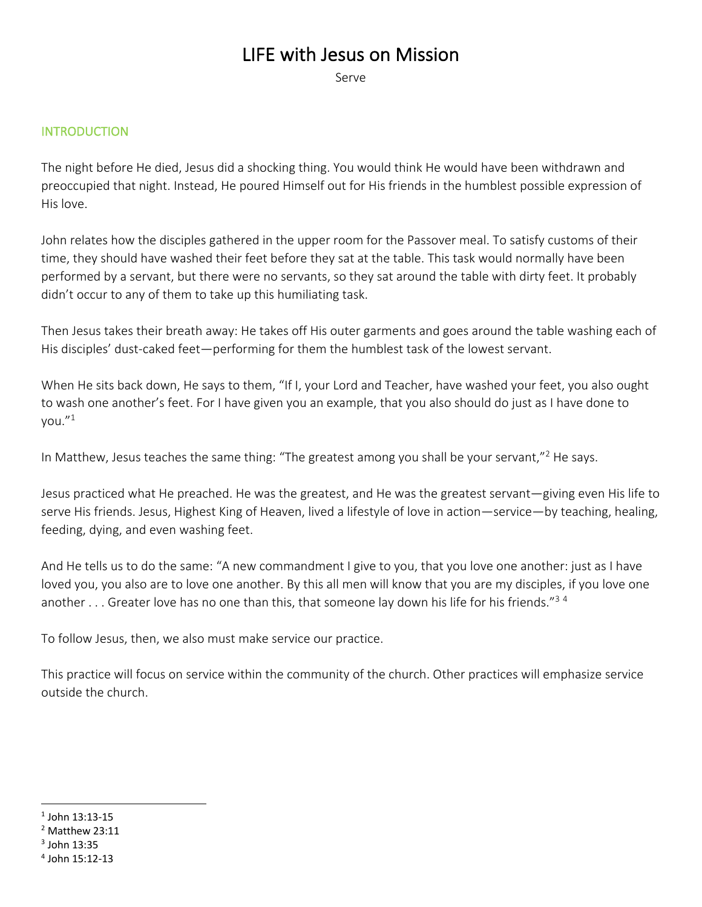# LIFE with Jesus on Mission

Serve

#### **INTRODUCTION**

The night before He died, Jesus did a shocking thing. You would think He would have been withdrawn and preoccupied that night. Instead, He poured Himself out for His friends in the humblest possible expression of His love.

John relates how the disciples gathered in the upper room for the Passover meal. To satisfy customs of their time, they should have washed their feet before they sat at the table. This task would normally have been performed by a servant, but there were no servants, so they sat around the table with dirty feet. It probably didn't occur to any of them to take up this humiliating task.

Then Jesus takes their breath away: He takes off His outer garments and goes around the table washing each of His disciples' dust-caked feet—performing for them the humblest task of the lowest servant.

When He sits back down, He says to them, "If I, your Lord and Teacher, have washed your feet, you also ought to wash one another's feet. For I have given you an example, that you also should do just as I have done to you."1

In Matthew, Jesus teaches the same thing: "The greatest among you shall be your servant,"<sup>2</sup> He says.

Jesus practiced what He preached. He was the greatest, and He was the greatest servant—giving even His life to serve His friends. Jesus, Highest King of Heaven, lived a lifestyle of love in action—service—by teaching, healing, feeding, dying, and even washing feet.

And He tells us to do the same: "A new commandment I give to you, that you love one another: just as I have loved you, you also are to love one another. By this all men will know that you are my disciples, if you love one another . . . Greater love has no one than this, that someone lay down his life for his friends."<sup>34</sup>

To follow Jesus, then, we also must make service our practice.

This practice will focus on service within the community of the church. Other practices will emphasize service outside the church.

 $1$  John 13:13-15

 $2$  Matthew 23:11

<sup>3</sup> John 13:35

<sup>4</sup> John 15:12-13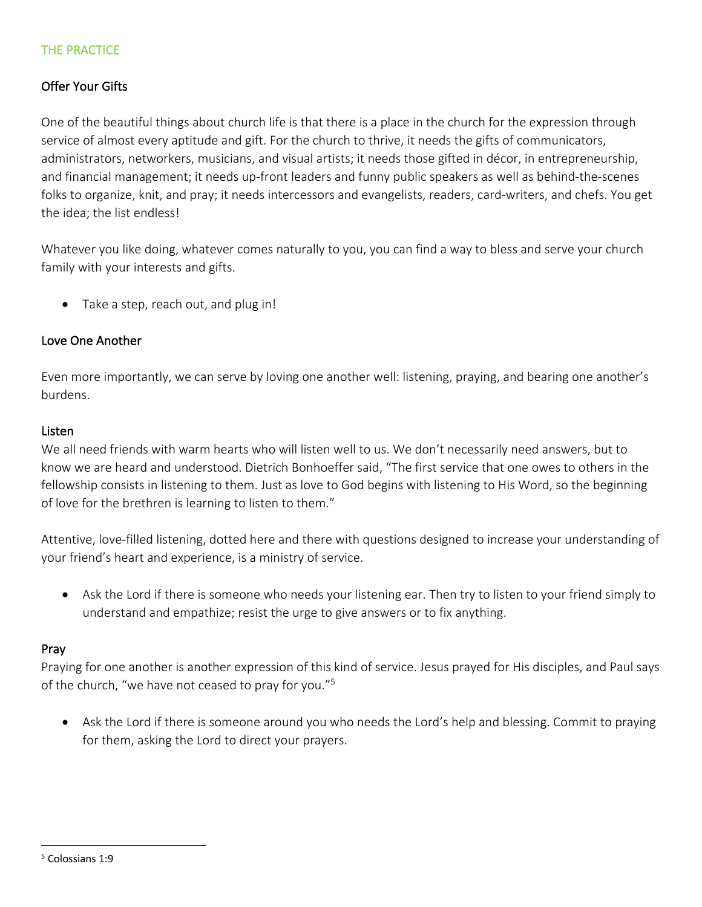## THE PRACTICE

## Offer Your Gifts

One of the beautiful things about church life is that there is a place in the church for the expression through service of almost every aptitude and gift. For the church to thrive, it needs the gifts of communicators, administrators, networkers, musicians, and visual artists; it needs those gifted in décor, in entrepreneurship, and financial management; it needs up-front leaders and funny public speakers as well as behind-the-scenes folks to organize, knit, and pray; it needs intercessors and evangelists, readers, card-writers, and chefs. You get the idea; the list endless!

Whatever you like doing, whatever comes naturally to you, you can find a way to bless and serve your church family with your interests and gifts.

• Take a step, reach out, and plug in!

#### Love One Another

Even more importantly, we can serve by loving one another well: listening, praying, and bearing one another's burdens.

#### Listen

We all need friends with warm hearts who will listen well to us. We don't necessarily need answers, but to know we are heard and understood. Dietrich Bonhoeffer said, "The first service that one owes to others in the fellowship consists in listening to them. Just as love to God begins with listening to His Word, so the beginning of love for the brethren is learning to listen to them."

Attentive, love-filled listening, dotted here and there with questions designed to increase your understanding of your friend's heart and experience, is a ministry of service.

• Ask the Lord if there is someone who needs your listening ear. Then try to listen to your friend simply to understand and empathize; resist the urge to give answers or to fix anything.

#### Pray

Praying for one another is another expression of this kind of service. Jesus prayed for His disciples, and Paul says of the church, "we have not ceased to pray for you."5

• Ask the Lord if there is someone around you who needs the Lord's help and blessing. Commit to praying for them, asking the Lord to direct your prayers.

<sup>5</sup> Colossians 1:9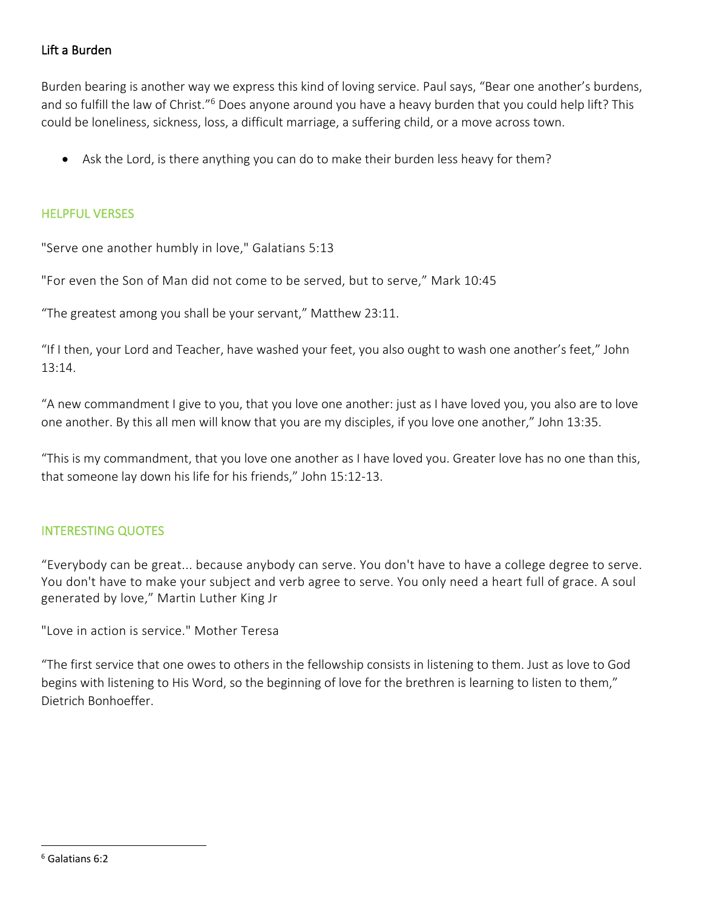## Lift a Burden

Burden bearing is another way we express this kind of loving service. Paul says, "Bear one another's burdens, and so fulfill the law of Christ."<sup>6</sup> Does anyone around you have a heavy burden that you could help lift? This could be loneliness, sickness, loss, a difficult marriage, a suffering child, or a move across town.

• Ask the Lord, is there anything you can do to make their burden less heavy for them?

#### HELPFUL VERSES

"Serve one another humbly in love," Galatians 5:13

"For even the Son of Man did not come to be served, but to serve," Mark 10:45

"The greatest among you shall be your servant," Matthew 23:11.

"If I then, your Lord and Teacher, have washed your feet, you also ought to wash one another's feet," John 13:14.

"A new commandment I give to you, that you love one another: just as I have loved you, you also are to love one another. By this all men will know that you are my disciples, if you love one another," John 13:35.

"This is my commandment, that you love one another as I have loved you. Greater love has no one than this, that someone lay down his life for his friends," John 15:12-13.

## INTERESTING QUOTES

"Everybody can be great... because anybody can serve. You don't have to have a college degree to serve. You don't have to make your subject and verb agree to serve. You only need a heart full of grace. A soul generated by love," Martin Luther King Jr

"Love in action is service." Mother Teresa

"The first service that one owes to others in the fellowship consists in listening to them. Just as love to God begins with listening to His Word, so the beginning of love for the brethren is learning to listen to them," Dietrich Bonhoeffer.

<sup>6</sup> Galatians 6:2